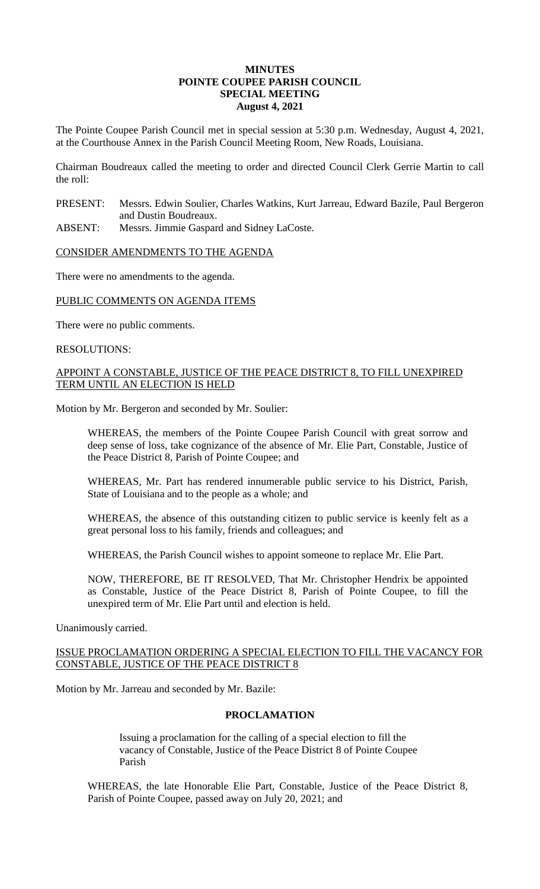## **MINUTES POINTE COUPEE PARISH COUNCIL SPECIAL MEETING August 4, 2021**

The Pointe Coupee Parish Council met in special session at 5:30 p.m. Wednesday, August 4, 2021, at the Courthouse Annex in the Parish Council Meeting Room, New Roads, Louisiana.

Chairman Boudreaux called the meeting to order and directed Council Clerk Gerrie Martin to call the roll:

- PRESENT: Messrs. Edwin Soulier, Charles Watkins, Kurt Jarreau, Edward Bazile, Paul Bergeron and Dustin Boudreaux.
- ABSENT: Messrs. Jimmie Gaspard and Sidney LaCoste.

## CONSIDER AMENDMENTS TO THE AGENDA

There were no amendments to the agenda.

## PUBLIC COMMENTS ON AGENDA ITEMS

There were no public comments.

#### RESOLUTIONS:

# APPOINT A CONSTABLE, JUSTICE OF THE PEACE DISTRICT 8, TO FILL UNEXPIRED TERM UNTIL AN ELECTION IS HELD

Motion by Mr. Bergeron and seconded by Mr. Soulier:

WHEREAS, the members of the Pointe Coupee Parish Council with great sorrow and deep sense of loss, take cognizance of the absence of Mr. Elie Part, Constable, Justice of the Peace District 8, Parish of Pointe Coupee; and

WHEREAS, Mr. Part has rendered innumerable public service to his District, Parish, State of Louisiana and to the people as a whole; and

WHEREAS, the absence of this outstanding citizen to public service is keenly felt as a great personal loss to his family, friends and colleagues; and

WHEREAS, the Parish Council wishes to appoint someone to replace Mr. Elie Part.

NOW, THEREFORE, BE IT RESOLVED, That Mr. Christopher Hendrix be appointed as Constable, Justice of the Peace District 8, Parish of Pointe Coupee, to fill the unexpired term of Mr. Elie Part until and election is held.

#### Unanimously carried.

ISSUE PROCLAMATION ORDERING A SPECIAL ELECTION TO FILL THE VACANCY FOR CONSTABLE, JUSTICE OF THE PEACE DISTRICT 8

Motion by Mr. Jarreau and seconded by Mr. Bazile:

## **PROCLAMATION**

Issuing a proclamation for the calling of a special election to fill the vacancy of Constable, Justice of the Peace District 8 of Pointe Coupee Parish

WHEREAS, the late Honorable Elie Part, Constable, Justice of the Peace District 8, Parish of Pointe Coupee, passed away on July 20, 2021; and